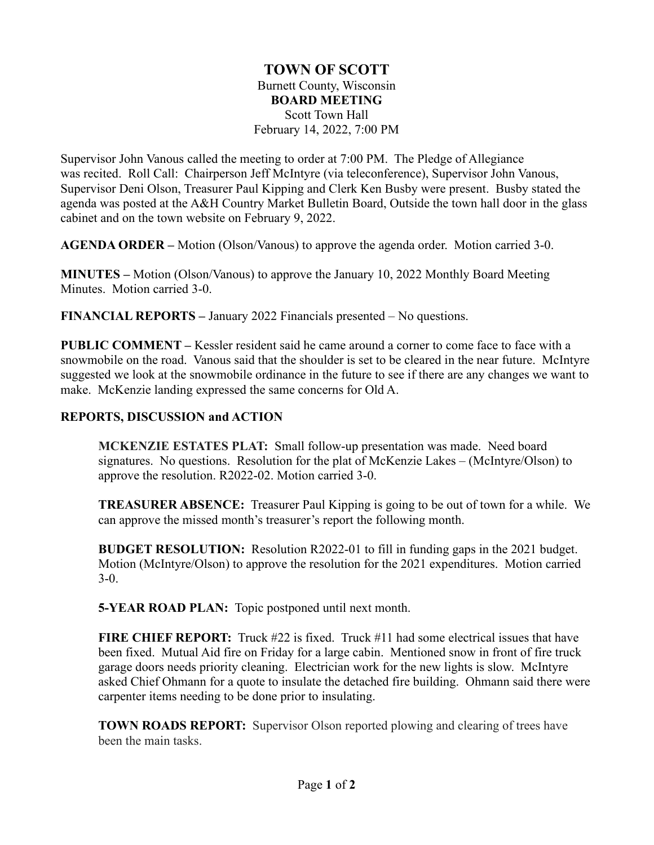## **TOWN OF SCOTT** Burnett County, Wisconsin **BOARD MEETING** Scott Town Hall February 14, 2022, 7:00 PM

Supervisor John Vanous called the meeting to order at 7:00 PM. The Pledge of Allegiance was recited. Roll Call: Chairperson Jeff McIntyre (via teleconference), Supervisor John Vanous, Supervisor Deni Olson, Treasurer Paul Kipping and Clerk Ken Busby were present. Busby stated the agenda was posted at the A&H Country Market Bulletin Board, Outside the town hall door in the glass cabinet and on the town website on February 9, 2022.

**AGENDA ORDER –** Motion (Olson/Vanous) to approve the agenda order. Motion carried 3-0.

**MINUTES –** Motion (Olson/Vanous) to approve the January 10, 2022 Monthly Board Meeting Minutes. Motion carried 3-0.

**FINANCIAL REPORTS –** January 2022 Financials presented – No questions.

**PUBLIC COMMENT –** Kessler resident said he came around a corner to come face to face with a snowmobile on the road. Vanous said that the shoulder is set to be cleared in the near future. McIntyre suggested we look at the snowmobile ordinance in the future to see if there are any changes we want to make. McKenzie landing expressed the same concerns for Old A.

## **REPORTS, DISCUSSION and ACTION**

**MCKENZIE ESTATES PLAT:** Small follow-up presentation was made. Need board signatures. No questions. Resolution for the plat of McKenzie Lakes – (McIntyre/Olson) to approve the resolution. R2022-02. Motion carried 3-0.

**TREASURER ABSENCE:** Treasurer Paul Kipping is going to be out of town for a while. We can approve the missed month's treasurer's report the following month.

**BUDGET RESOLUTION:** Resolution R2022-01 to fill in funding gaps in the 2021 budget. Motion (McIntyre/Olson) to approve the resolution for the 2021 expenditures. Motion carried 3-0.

**5-YEAR ROAD PLAN:** Topic postponed until next month.

**FIRE CHIEF REPORT:** Truck #22 is fixed. Truck #11 had some electrical issues that have been fixed. Mutual Aid fire on Friday for a large cabin. Mentioned snow in front of fire truck garage doors needs priority cleaning. Electrician work for the new lights is slow. McIntyre asked Chief Ohmann for a quote to insulate the detached fire building. Ohmann said there were carpenter items needing to be done prior to insulating.

**TOWN ROADS REPORT:** Supervisor Olson reported plowing and clearing of trees have been the main tasks.